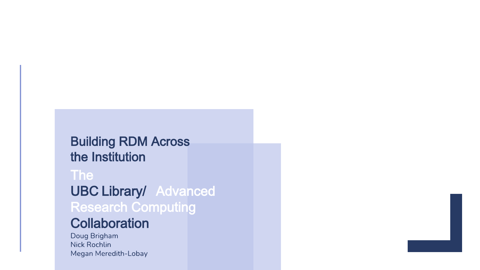### Building RDM Across the Institution

### The

UBC Library/ Advanced Research Computing

### **Collaboration**

Doug Brigham **Nick Rochlin** Megan Meredith-Lobay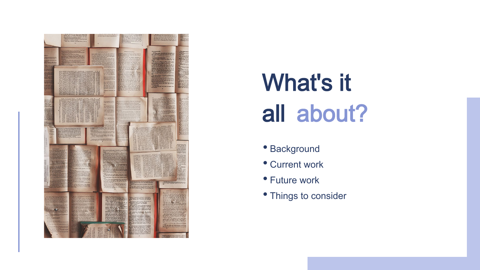

## What's it all about?

- Background
- Current work
- Future work
- Things to consider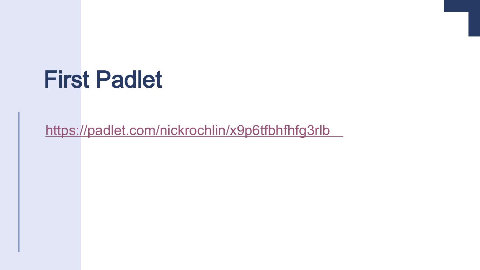## First Padlet

<https://padlet.com/nickrochlin/x9p6tfbhfhfg3rlb>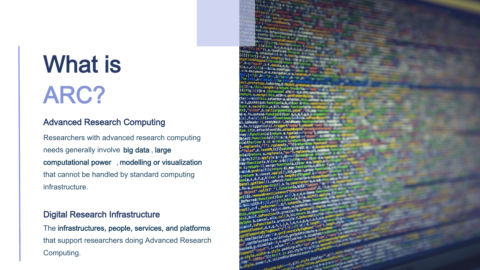## What is ARC?

#### Advanced Research Computing

Researchers with advanced research computing needs generally involve big data , large computational power , modelling or visualization that cannot be handled by standard computing infrastructure.

#### Digital Research Infrastructure

The infrastructures, people, services, and platforms that support researchers doing Advanced Research Computing.

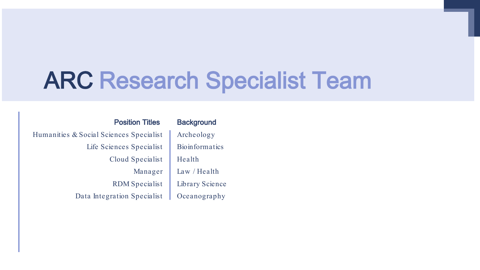## ARC Research Specialist Team

Position Titles Humanities & Social Sciences Specialist Life Sciences Specialist Cloud Specialist Manager RDM Specialist Data Integration Specialist

**Background** Archeology **Bioinformatics** Health Law / Health Library Science Oceanography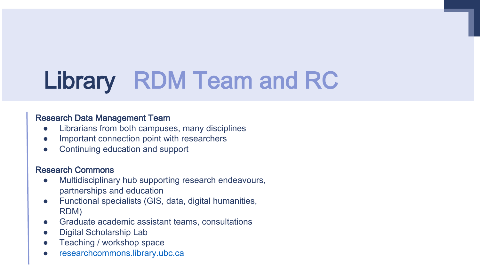## Library RDM Team and RC

#### Research Data Management Team

- Librarians from both campuses, many disciplines
- Important connection point with researchers
- Continuing education and support

#### Research Commons

- Multidisciplinary hub supporting research endeavours, partnerships and education
- Functional specialists (GIS, data, digital humanities, RDM)
- Graduate academic assistant teams, consultations
- Digital Scholarship Lab
- Teaching / workshop space
- [researchcommons.library.ubc.ca](https://researchcommons.library.ubc.ca/)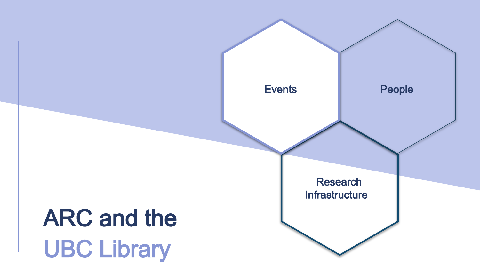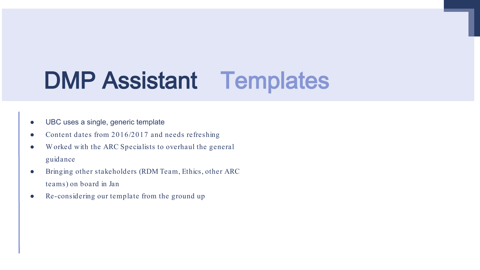## DMP Assistant Templates

- UBC uses a single, generic template
- Content dates from  $2016/2017$  and needs refreshing
- W orked with the ARC Specialists to overhaul the general guidance
- Bringing other stakeholders (RDM Team, Ethics, other ARC teams) on board in Jan
- Re-considering our template from the ground up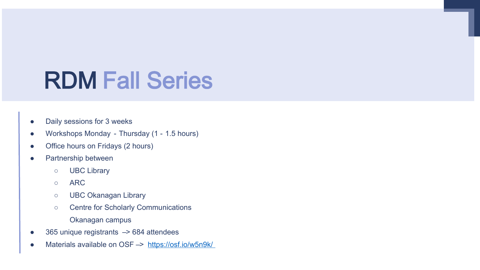## RDM Fall Series

- Daily sessions for 3 weeks
- Workshops Monday Thursday (1 1.5 hours)
- Office hours on Fridays (2 hours)
- Partnership between
	- UBC Library
	- ARC
	- UBC Okanagan Library
	- Centre for Scholarly Communications Okanagan campus
- 365 unique registrants -> 684 attendees
- Materials available on OSF –> <https://osf.io/w5n9k/>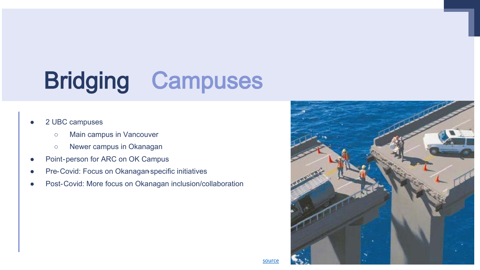## Bridging Campuses

#### 2 UBC campuses

- Main campus in Vancouver
- Newer campus in Okanagan
- Point-person for ARC on OK Campus
- Pre-Covid: Focus on Okanagan specific initiatives
- Post-Covid: More focus on Okanagan inclusion/collaboration

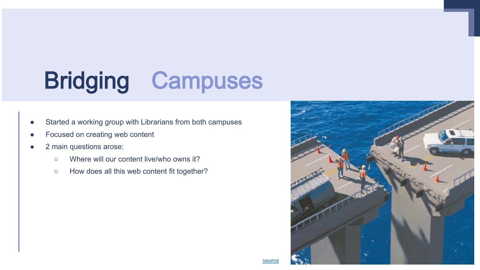## Bridging Campuses

- Started a working group with Librarians from both campuses
- Focused on creating web content
- 2 main questions arose:
	- Where will our content live/who owns it?
	- How does all this web content fit together?

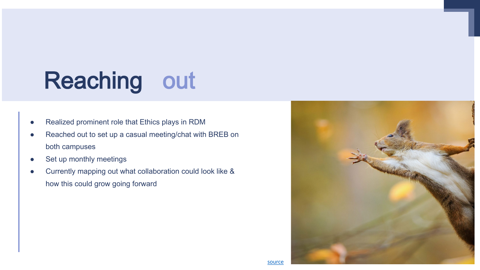## Reaching out

- Realized prominent role that Ethics plays in RDM
- Reached out to set up a casual meeting/chat with BREB on both campuses
- Set up monthly meetings
- Currently mapping out what collaboration could look like & how this could grow going forward

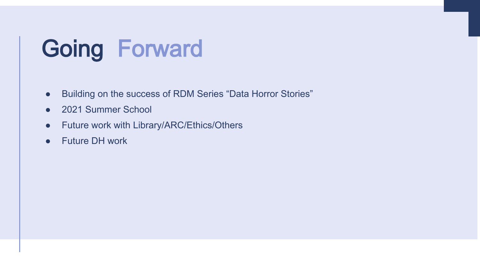## Going Forward

- Building on the success of RDM Series "Data Horror Stories"
- 2021 Summer School
- Future work with Library/ARC/Ethics/Others
- Future DH work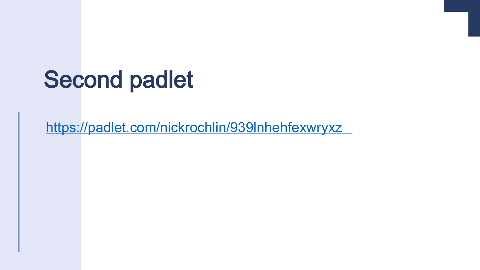## Second padlet

<https://padlet.com/nickrochlin/939lnhehfexwryxz>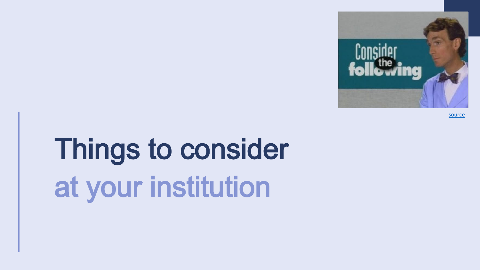

[source](https://tenor.com/search/consider-the-following-bill-nye-gifs)

# Things to consider at your institution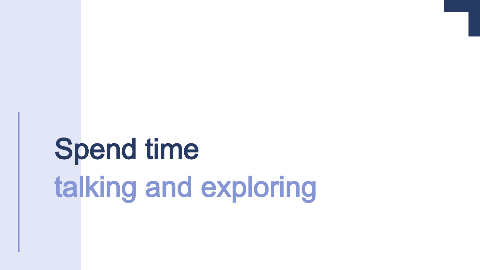# Spend time talking and exploring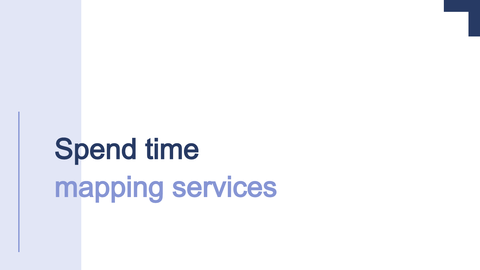# Spend time mapping services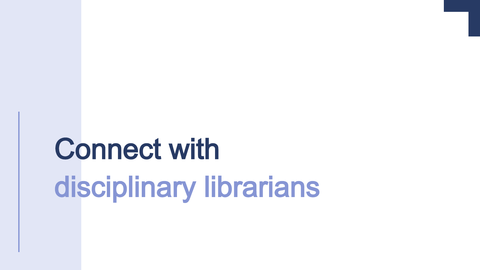# Connect with disciplinary librarians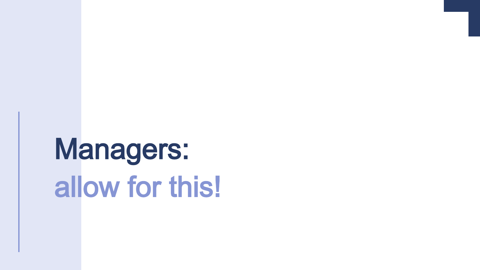# Managers: allow for this!